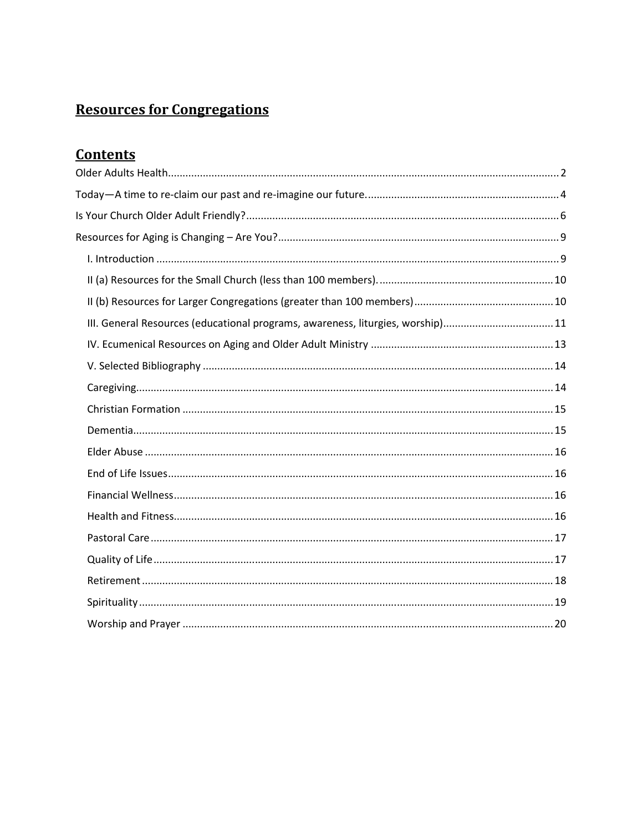# **Resources for Congregations**

# **Contents**

| III. General Resources (educational programs, awareness, liturgies, worship)11 |
|--------------------------------------------------------------------------------|
|                                                                                |
|                                                                                |
|                                                                                |
|                                                                                |
|                                                                                |
|                                                                                |
|                                                                                |
|                                                                                |
|                                                                                |
|                                                                                |
|                                                                                |
|                                                                                |
|                                                                                |
|                                                                                |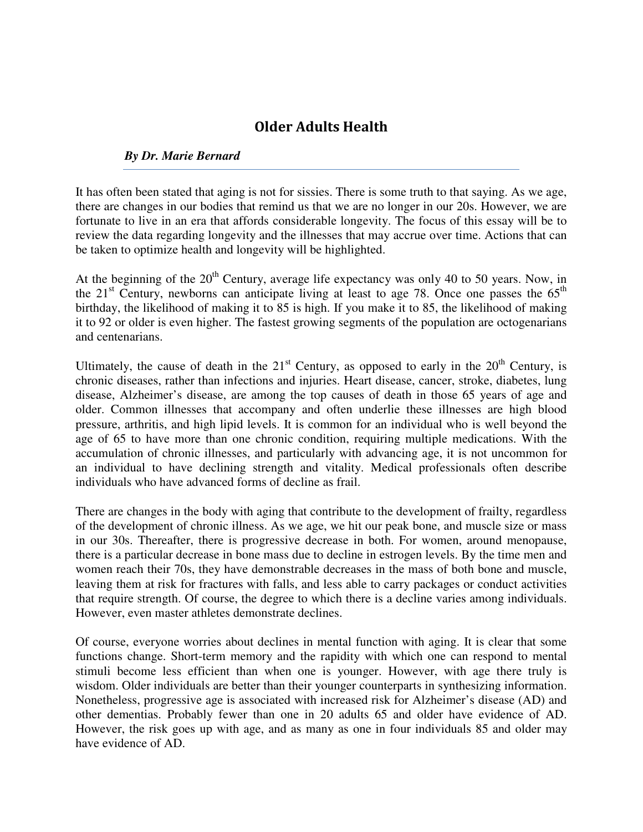# Older Adults Health

### *By Dr. Marie Bernard*

It has often been stated that aging is not for sissies. There is some truth to that saying. As we age, there are changes in our bodies that remind us that we are no longer in our 20s. However, we are fortunate to live in an era that affords considerable longevity. The focus of this essay will be to review the data regarding longevity and the illnesses that may accrue over time. Actions that can be taken to optimize health and longevity will be highlighted.

At the beginning of the  $20<sup>th</sup>$  Century, average life expectancy was only 40 to 50 years. Now, in the 21<sup>st</sup> Century, newborns can anticipate living at least to age 78. Once one passes the  $65<sup>th</sup>$ birthday, the likelihood of making it to 85 is high. If you make it to 85, the likelihood of making it to 92 or older is even higher. The fastest growing segments of the population are octogenarians and centenarians.

Ultimately, the cause of death in the  $21<sup>st</sup>$  Century, as opposed to early in the  $20<sup>th</sup>$  Century, is chronic diseases, rather than infections and injuries. Heart disease, cancer, stroke, diabetes, lung disease, Alzheimer's disease, are among the top causes of death in those 65 years of age and older. Common illnesses that accompany and often underlie these illnesses are high blood pressure, arthritis, and high lipid levels. It is common for an individual who is well beyond the age of 65 to have more than one chronic condition, requiring multiple medications. With the accumulation of chronic illnesses, and particularly with advancing age, it is not uncommon for an individual to have declining strength and vitality. Medical professionals often describe individuals who have advanced forms of decline as frail.

There are changes in the body with aging that contribute to the development of frailty, regardless of the development of chronic illness. As we age, we hit our peak bone, and muscle size or mass in our 30s. Thereafter, there is progressive decrease in both. For women, around menopause, there is a particular decrease in bone mass due to decline in estrogen levels. By the time men and women reach their 70s, they have demonstrable decreases in the mass of both bone and muscle, leaving them at risk for fractures with falls, and less able to carry packages or conduct activities that require strength. Of course, the degree to which there is a decline varies among individuals. However, even master athletes demonstrate declines.

Of course, everyone worries about declines in mental function with aging. It is clear that some functions change. Short-term memory and the rapidity with which one can respond to mental stimuli become less efficient than when one is younger. However, with age there truly is wisdom. Older individuals are better than their younger counterparts in synthesizing information. Nonetheless, progressive age is associated with increased risk for Alzheimer's disease (AD) and other dementias. Probably fewer than one in 20 adults 65 and older have evidence of AD. However, the risk goes up with age, and as many as one in four individuals 85 and older may have evidence of AD.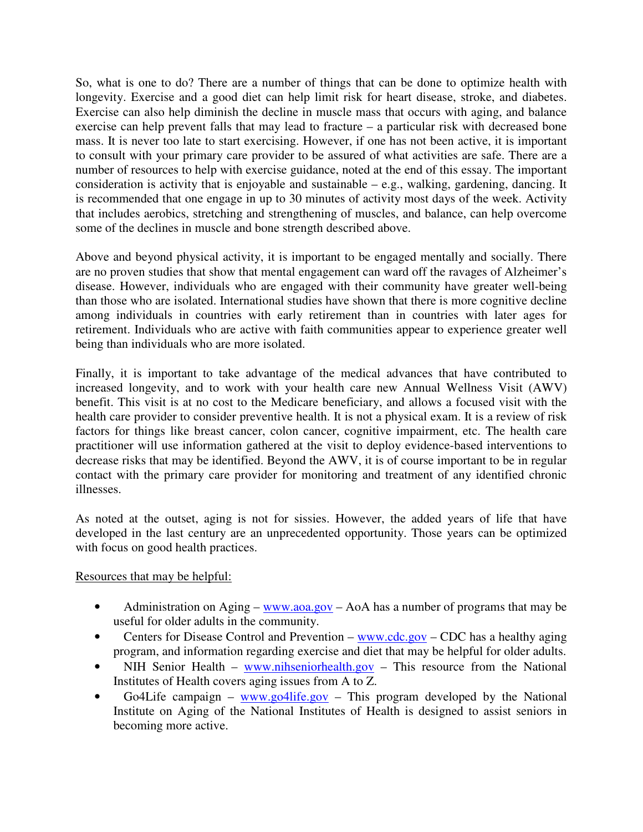So, what is one to do? There are a number of things that can be done to optimize health with longevity. Exercise and a good diet can help limit risk for heart disease, stroke, and diabetes. Exercise can also help diminish the decline in muscle mass that occurs with aging, and balance exercise can help prevent falls that may lead to fracture – a particular risk with decreased bone mass. It is never too late to start exercising. However, if one has not been active, it is important to consult with your primary care provider to be assured of what activities are safe. There are a number of resources to help with exercise guidance, noted at the end of this essay. The important consideration is activity that is enjoyable and sustainable – e.g., walking, gardening, dancing. It is recommended that one engage in up to 30 minutes of activity most days of the week. Activity that includes aerobics, stretching and strengthening of muscles, and balance, can help overcome some of the declines in muscle and bone strength described above.

Above and beyond physical activity, it is important to be engaged mentally and socially. There are no proven studies that show that mental engagement can ward off the ravages of Alzheimer's disease. However, individuals who are engaged with their community have greater well-being than those who are isolated. International studies have shown that there is more cognitive decline among individuals in countries with early retirement than in countries with later ages for retirement. Individuals who are active with faith communities appear to experience greater well being than individuals who are more isolated.

Finally, it is important to take advantage of the medical advances that have contributed to increased longevity, and to work with your health care new Annual Wellness Visit (AWV) benefit. This visit is at no cost to the Medicare beneficiary, and allows a focused visit with the health care provider to consider preventive health. It is not a physical exam. It is a review of risk factors for things like breast cancer, colon cancer, cognitive impairment, etc. The health care practitioner will use information gathered at the visit to deploy evidence-based interventions to decrease risks that may be identified. Beyond the AWV, it is of course important to be in regular contact with the primary care provider for monitoring and treatment of any identified chronic illnesses.

As noted at the outset, aging is not for sissies. However, the added years of life that have developed in the last century are an unprecedented opportunity. Those years can be optimized with focus on good health practices.

### Resources that may be helpful:

- Administration on Aging www.aoa.gov AoA has a number of programs that may be useful for older adults in the community.
- Centers for Disease Control and Prevention www.cdc.gov CDC has a healthy aging program, and information regarding exercise and diet that may be helpful for older adults.
- NIH Senior Health www.nihseniorhealth.gov This resource from the National Institutes of Health covers aging issues from A to Z.
- Go4Life campaign www.go4life.gov This program developed by the National Institute on Aging of the National Institutes of Health is designed to assist seniors in becoming more active.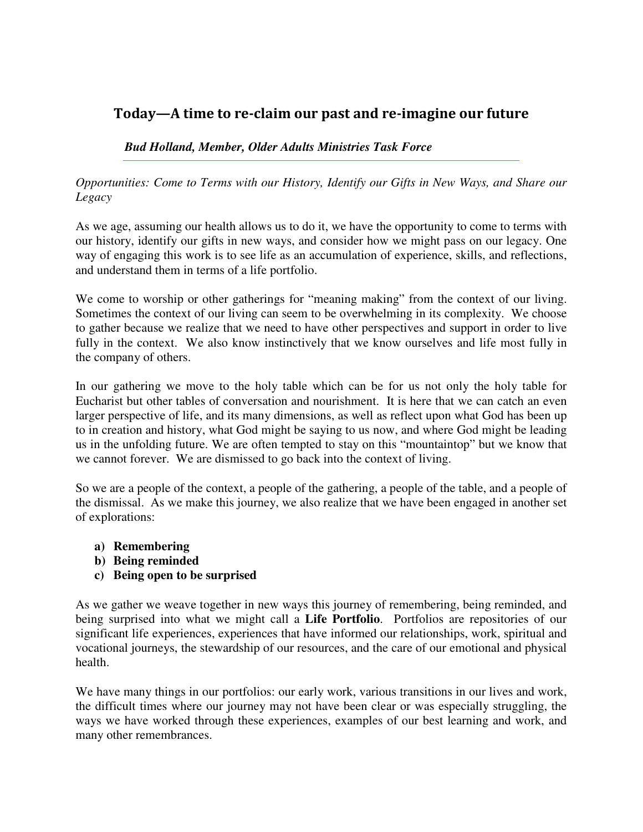# Today—A time to re-claim our past and re-imagine our future

### *Bud Holland, Member, Older Adults Ministries Task Force*

*Opportunities: Come to Terms with our History, Identify our Gifts in New Ways, and Share our Legacy* 

As we age, assuming our health allows us to do it, we have the opportunity to come to terms with our history, identify our gifts in new ways, and consider how we might pass on our legacy. One way of engaging this work is to see life as an accumulation of experience, skills, and reflections, and understand them in terms of a life portfolio.

We come to worship or other gatherings for "meaning making" from the context of our living. Sometimes the context of our living can seem to be overwhelming in its complexity. We choose to gather because we realize that we need to have other perspectives and support in order to live fully in the context. We also know instinctively that we know ourselves and life most fully in the company of others.

In our gathering we move to the holy table which can be for us not only the holy table for Eucharist but other tables of conversation and nourishment. It is here that we can catch an even larger perspective of life, and its many dimensions, as well as reflect upon what God has been up to in creation and history, what God might be saying to us now, and where God might be leading us in the unfolding future. We are often tempted to stay on this "mountaintop" but we know that we cannot forever. We are dismissed to go back into the context of living.

So we are a people of the context, a people of the gathering, a people of the table, and a people of the dismissal. As we make this journey, we also realize that we have been engaged in another set of explorations:

- **a) Remembering**
- **b) Being reminded**
- **c) Being open to be surprised**

As we gather we weave together in new ways this journey of remembering, being reminded, and being surprised into what we might call a **Life Portfolio**. Portfolios are repositories of our significant life experiences, experiences that have informed our relationships, work, spiritual and vocational journeys, the stewardship of our resources, and the care of our emotional and physical health.

We have many things in our portfolios: our early work, various transitions in our lives and work, the difficult times where our journey may not have been clear or was especially struggling, the ways we have worked through these experiences, examples of our best learning and work, and many other remembrances.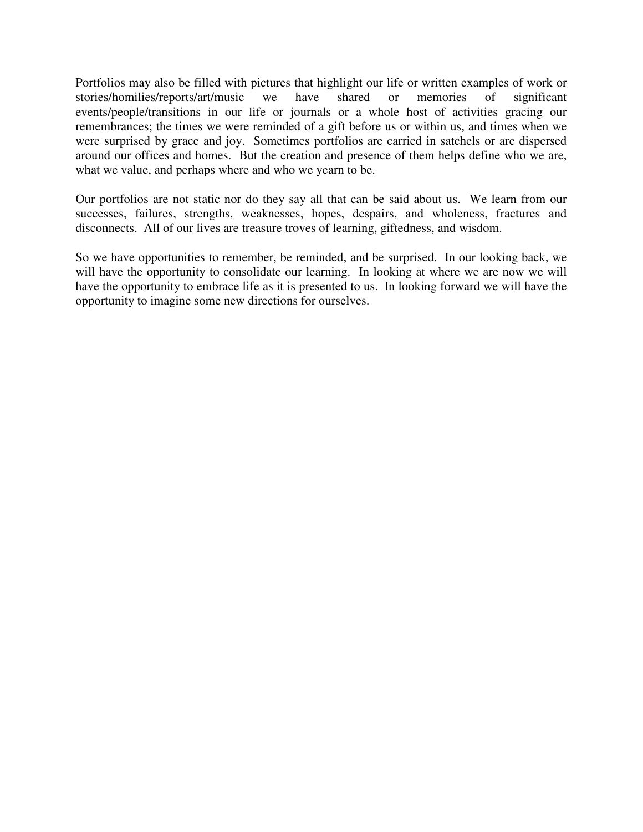Portfolios may also be filled with pictures that highlight our life or written examples of work or stories/homilies/reports/art/music we have shared or memories of significant stories/homilies/reports/art/music we have shared or memories of significant events/people/transitions in our life or journals or a whole host of activities gracing our remembrances; the times we were reminded of a gift before us or within us, and times when we were surprised by grace and joy. Sometimes portfolios are carried in satchels or are dispersed around our offices and homes. But the creation and presence of them helps define who we are, what we value, and perhaps where and who we yearn to be.

Our portfolios are not static nor do they say all that can be said about us. We learn from our successes, failures, strengths, weaknesses, hopes, despairs, and wholeness, fractures and disconnects. All of our lives are treasure troves of learning, giftedness, and wisdom.

So we have opportunities to remember, be reminded, and be surprised. In our looking back, we will have the opportunity to consolidate our learning. In looking at where we are now we will have the opportunity to embrace life as it is presented to us. In looking forward we will have the opportunity to imagine some new directions for ourselves.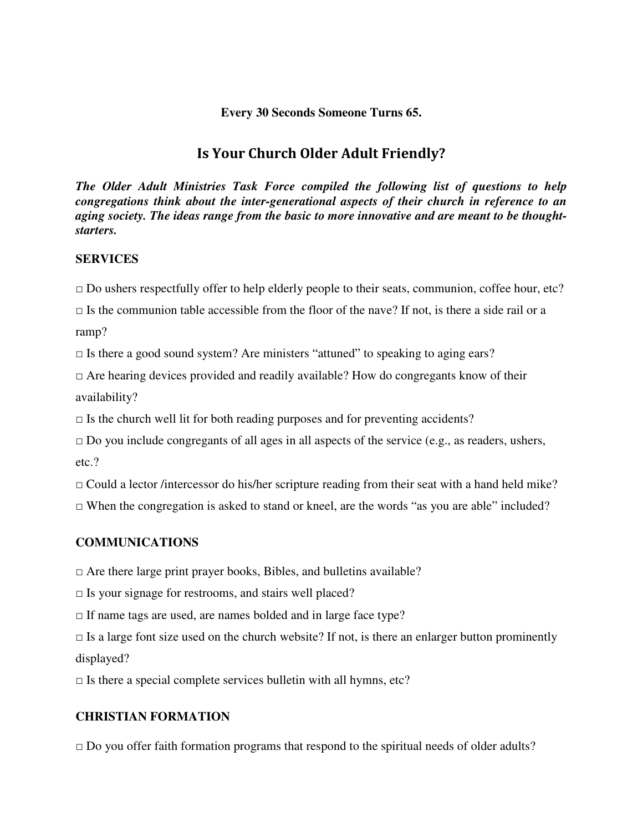### **Every 30 Seconds Someone Turns 65.**

# Is Your Church Older Adult Friendly?

*The Older Adult Ministries Task Force compiled the following list of questions to help congregations think about the inter-generational aspects of their church in reference to an aging society. The ideas range from the basic to more innovative and are meant to be thoughtstarters.* 

#### **SERVICES**

 $\Box$  Do ushers respectfully offer to help elderly people to their seats, communion, coffee hour, etc?

 $\Box$  Is the communion table accessible from the floor of the nave? If not, is there a side rail or a ramp?

 $\Box$  Is there a good sound system? Are ministers "attuned" to speaking to aging ears?

 $\Box$  Are hearing devices provided and readily available? How do congregants know of their availability?

 $\Box$  Is the church well lit for both reading purposes and for preventing accidents?

 $\Box$  Do you include congregants of all ages in all aspects of the service (e.g., as readers, ushers, etc.?

 $\Box$  Could a lector /intercessor do his/her scripture reading from their seat with a hand held mike?

 $\Box$  When the congregation is asked to stand or kneel, are the words "as you are able" included?

### **COMMUNICATIONS**

 $\square$  Are there large print prayer books, Bibles, and bulletins available?

 $\square$  Is your signage for restrooms, and stairs well placed?

 $\Box$  If name tags are used, are names bolded and in large face type?

 $\Box$  Is a large font size used on the church website? If not, is there an enlarger button prominently displayed?

 $\square$  Is there a special complete services bullet in with all hymns, etc?

### **CHRISTIAN FORMATION**

 $\Box$  Do you offer faith formation programs that respond to the spiritual needs of older adults?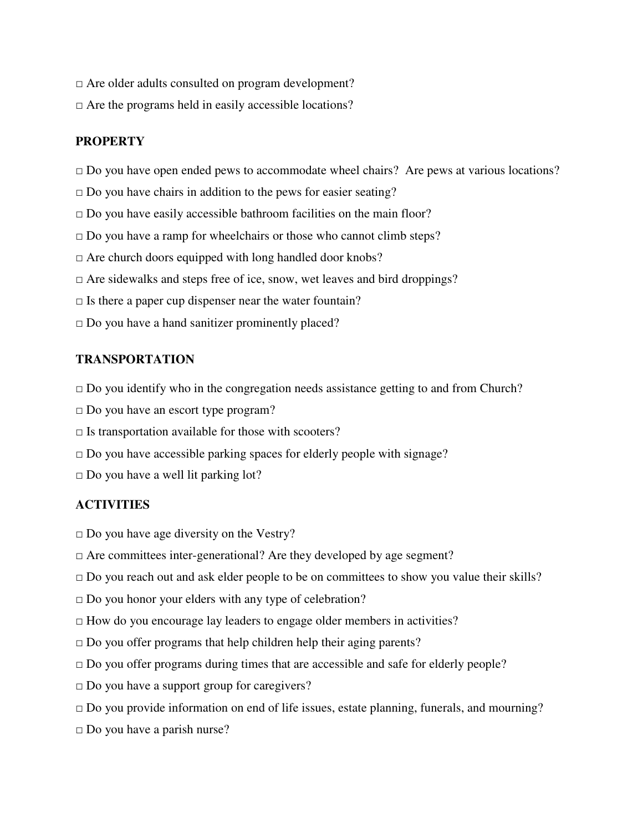- □ Are older adults consulted on program development?
- $\Box$  Are the programs held in easily accessible locations?

### **PROPERTY**

- $\Box$  Do you have open ended pews to accommodate wheel chairs? Are pews at various locations?
- $\square$  Do you have chairs in addition to the pews for easier seating?
- $\Box$  Do you have easily accessible bathroom facilities on the main floor?
- $\square$  Do you have a ramp for wheelchairs or those who cannot climb steps?
- $\Box$  Are church doors equipped with long handled door knobs?
- $\Box$  Are sidewalks and steps free of ice, snow, wet leaves and bird droppings?
- $\Box$  Is there a paper cup dispenser near the water fountain?
- $\square$  Do you have a hand sanitizer prominently placed?

### **TRANSPORTATION**

- $\Box$  Do you identify who in the congregation needs assistance getting to and from Church?
- $\Box$  Do you have an escort type program?
- $\square$  Is transportation available for those with scooters?
- $\square$  Do you have accessible parking spaces for elderly people with signage?
- $\Box$  Do you have a well lit parking lot?

### **ACTIVITIES**

- $\square$  Do you have age diversity on the Vestry?
- $\Box$  Are committees inter-generational? Are they developed by age segment?
- $\Box$  Do you reach out and ask elder people to be on committees to show you value their skills?
- $\Box$  Do you honor your elders with any type of celebration?
- $\Box$  How do you encourage lay leaders to engage older members in activities?
- $\Box$  Do you offer programs that help children help their aging parents?
- $\Box$  Do you offer programs during times that are accessible and safe for elderly people?
- □ Do you have a support group for caregivers?
- $\Box$  Do you provide information on end of life issues, estate planning, funerals, and mourning?
- □ Do you have a parish nurse?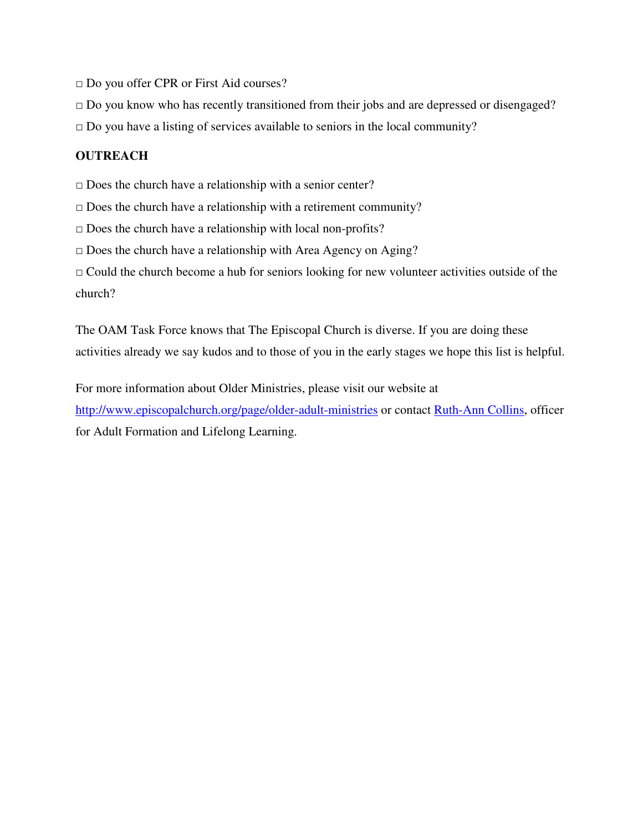□ Do you offer CPR or First Aid courses?

 $\square$  Do you know who has recently transitioned from their jobs and are depressed or disengaged?

 $\Box$  Do you have a listing of services available to seniors in the local community?

## **OUTREACH**

 $\square$  Does the church have a relationship with a senior center?

 $\square$  Does the church have a relationship with a retirement community?

 $\square$  Does the church have a relationship with local non-profits?

 $\square$  Does the church have a relationship with Area Agency on Aging?

 $\Box$  Could the church become a hub for seniors looking for new volunteer activities outside of the church?

The OAM Task Force knows that The Episcopal Church is diverse. If you are doing these activities already we say kudos and to those of you in the early stages we hope this list is helpful.

For more information about Older Ministries, please visit our website at http://www.episcopalchurch.org/page/older-adult-ministries or contact Ruth-Ann Collins, officer for Adult Formation and Lifelong Learning.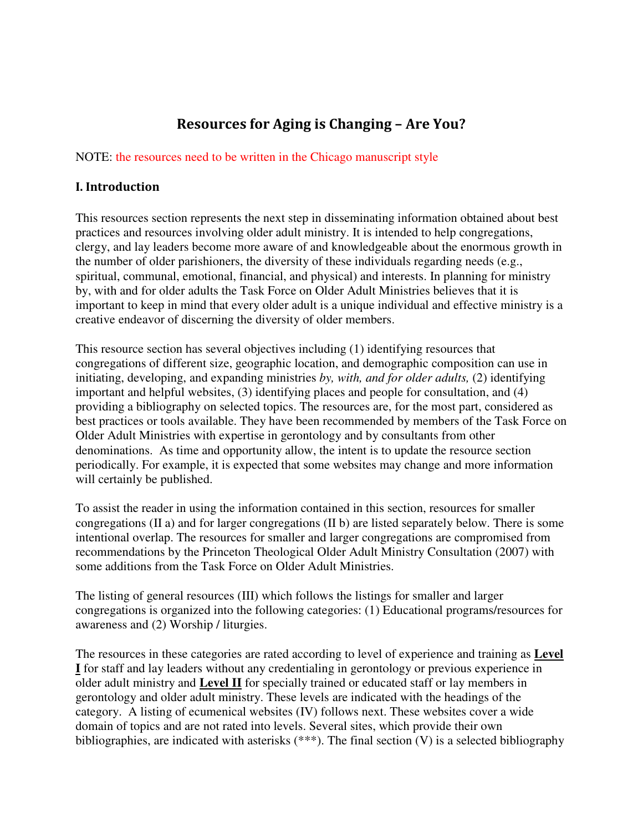# Resources for Aging is Changing – Are You?

### NOTE: the resources need to be written in the Chicago manuscript style

### I. Introduction

This resources section represents the next step in disseminating information obtained about best practices and resources involving older adult ministry. It is intended to help congregations, clergy, and lay leaders become more aware of and knowledgeable about the enormous growth in the number of older parishioners, the diversity of these individuals regarding needs (e.g., spiritual, communal, emotional, financial, and physical) and interests. In planning for ministry by, with and for older adults the Task Force on Older Adult Ministries believes that it is important to keep in mind that every older adult is a unique individual and effective ministry is a creative endeavor of discerning the diversity of older members.

This resource section has several objectives including (1) identifying resources that congregations of different size, geographic location, and demographic composition can use in initiating, developing, and expanding ministries *by, with, and for older adults,* (2) identifying important and helpful websites, (3) identifying places and people for consultation, and (4) providing a bibliography on selected topics. The resources are, for the most part, considered as best practices or tools available. They have been recommended by members of the Task Force on Older Adult Ministries with expertise in gerontology and by consultants from other denominations. As time and opportunity allow, the intent is to update the resource section periodically. For example, it is expected that some websites may change and more information will certainly be published.

To assist the reader in using the information contained in this section, resources for smaller congregations (II a) and for larger congregations (II b) are listed separately below. There is some intentional overlap. The resources for smaller and larger congregations are compromised from recommendations by the Princeton Theological Older Adult Ministry Consultation (2007) with some additions from the Task Force on Older Adult Ministries.

The listing of general resources (III) which follows the listings for smaller and larger congregations is organized into the following categories: (1) Educational programs/resources for awareness and (2) Worship / liturgies.

The resources in these categories are rated according to level of experience and training as **Level I** for staff and lay leaders without any credentialing in gerontology or previous experience in older adult ministry and **Level II** for specially trained or educated staff or lay members in gerontology and older adult ministry. These levels are indicated with the headings of the category. A listing of ecumenical websites (IV) follows next. These websites cover a wide domain of topics and are not rated into levels. Several sites, which provide their own bibliographies, are indicated with asterisks (\*\*\*). The final section  $(V)$  is a selected bibliography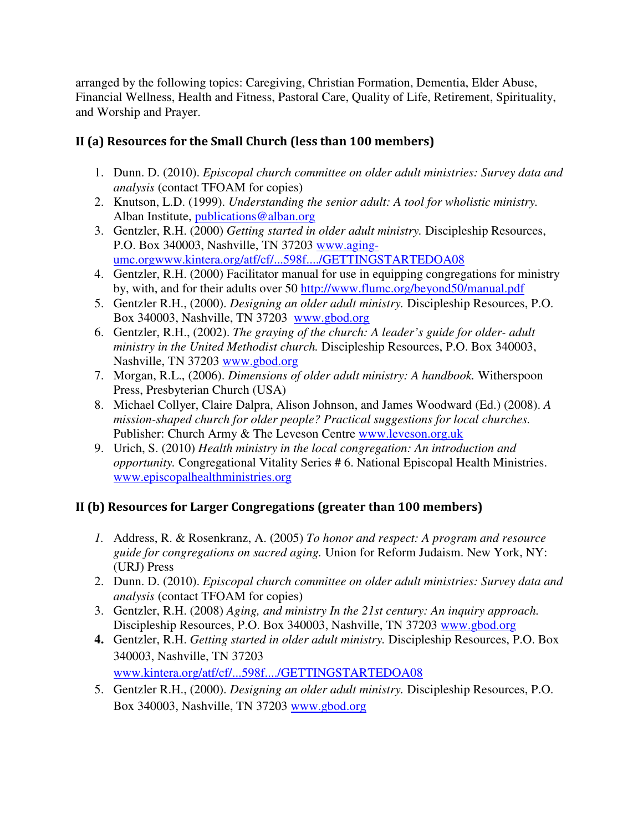arranged by the following topics: Caregiving, Christian Formation, Dementia, Elder Abuse, Financial Wellness, Health and Fitness, Pastoral Care, Quality of Life, Retirement, Spirituality, and Worship and Prayer.

# II (a) Resources for the Small Church (less than 100 members)

- 1. Dunn. D. (2010). *Episcopal church committee on older adult ministries: Survey data and analysis* (contact TFOAM for copies)
- 2. Knutson, L.D. (1999). *Understanding the senior adult: A tool for wholistic ministry.*  Alban Institute, publications@alban.org
- 3. Gentzler, R.H. (2000) *Getting started in older adult ministry.* Discipleship Resources, P.O. Box 340003, Nashville, TN 37203 www.agingumc.orgwww.kintera.org/atf/cf/...598f..../GETTINGSTARTEDOA08
- 4. Gentzler, R.H. (2000) Facilitator manual for use in equipping congregations for ministry by, with, and for their adults over 50 http://www.flumc.org/beyond50/manual.pdf
- 5. Gentzler R.H., (2000). *Designing an older adult ministry.* Discipleship Resources, P.O. Box 340003, Nashville, TN 37203 www.gbod.org
- 6. Gentzler, R.H., (2002). *The graying of the church: A leader's guide for older- adult ministry in the United Methodist church.* Discipleship Resources, P.O. Box 340003, Nashville, TN 37203 www.gbod.org
- 7. Morgan, R.L., (2006). *Dimensions of older adult ministry: A handbook.* Witherspoon Press, Presbyterian Church (USA)
- 8. Michael Collyer, Claire Dalpra, Alison Johnson, and James Woodward (Ed.) (2008). *A mission-shaped church for older people? Practical suggestions for local churches.* Publisher: Church Army & The Leveson Centre www.leveson.org.uk
- 9. Urich, S. (2010) *Health ministry in the local congregation: An introduction and opportunity.* Congregational Vitality Series # 6. National Episcopal Health Ministries. www.episcopalhealthministries.org

# II (b) Resources for Larger Congregations (greater than 100 members)

- *1.* Address, R. & Rosenkranz, A. (2005) *To honor and respect: A program and resource guide for congregations on sacred aging.* Union for Reform Judaism. New York, NY: (URJ) Press
- 2. Dunn. D. (2010). *Episcopal church committee on older adult ministries: Survey data and analysis* (contact TFOAM for copies)
- 3. Gentzler, R.H. (2008) *Aging, and ministry In the 21st century: An inquiry approach.* Discipleship Resources, P.O. Box 340003, Nashville, TN 37203 www.gbod.org
- **4.** Gentzler, R.H. *Getting started in older adult ministry.* Discipleship Resources, P.O. Box 340003, Nashville, TN 37203 www.kintera.org/atf/cf/...598f..../GETTINGSTARTEDOA08
- 5. Gentzler R.H., (2000). *Designing an older adult ministry.* Discipleship Resources, P.O. Box 340003, Nashville, TN 37203 www.gbod.org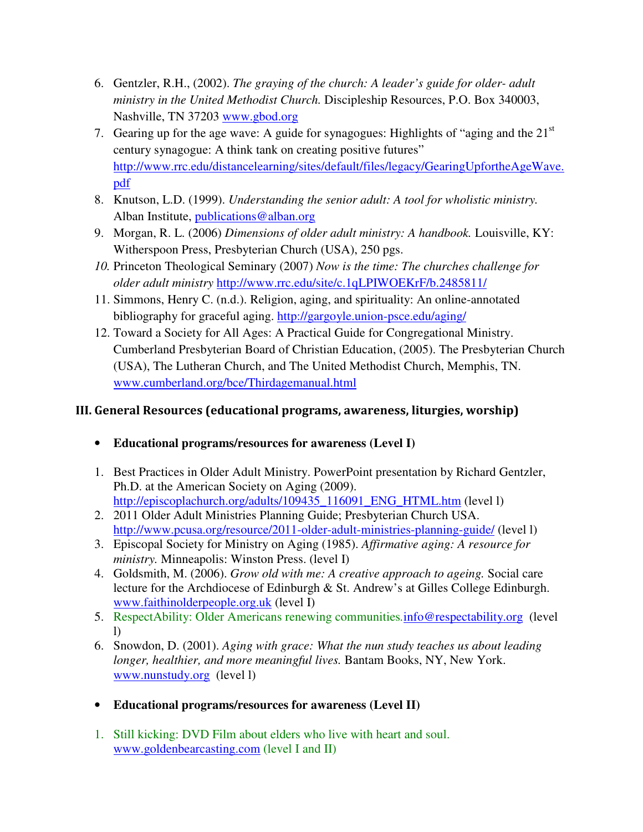- 6. Gentzler, R.H., (2002). *The graying of the church: A leader's guide for older- adult ministry in the United Methodist Church.* Discipleship Resources, P.O. Box 340003, Nashville, TN 37203 www.gbod.org
- 7. Gearing up for the age wave: A guide for synagogues: Highlights of "aging and the  $21<sup>st</sup>$ century synagogue: A think tank on creating positive futures" http://www.rrc.edu/distancelearning/sites/default/files/legacy/GearingUpfortheAgeWave. pdf
- 8. Knutson, L.D. (1999). *Understanding the senior adult: A tool for wholistic ministry.*  Alban Institute, publications@alban.org
- 9. Morgan, R. L. (2006) *Dimensions of older adult ministry: A handbook.* Louisville, KY: Witherspoon Press, Presbyterian Church (USA), 250 pgs.
- *10.* Princeton Theological Seminary (2007) *Now is the time: The churches challenge for older adult ministry* http://www.rrc.edu/site/c.1qLPIWOEKrF/b.2485811/
- 11. Simmons, Henry C. (n.d.). Religion, aging, and spirituality: An online-annotated bibliography for graceful aging. http://gargoyle.union-psce.edu/aging/
- 12. Toward a Society for All Ages: A Practical Guide for Congregational Ministry. Cumberland Presbyterian Board of Christian Education, (2005). The Presbyterian Church (USA), The Lutheran Church, and The United Methodist Church, Memphis, TN. www.cumberland.org/bce/Thirdagemanual.html

# III. General Resources (educational programs, awareness, liturgies, worship)

- **Educational programs/resources for awareness (Level I)**
- 1. Best Practices in Older Adult Ministry. PowerPoint presentation by Richard Gentzler, Ph.D. at the American Society on Aging (2009). http://episcoplachurch.org/adults/109435\_116091\_ENG\_HTML.htm (level l)
- 2. 2011 Older Adult Ministries Planning Guide; Presbyterian Church USA. http://www.pcusa.org/resource/2011-older-adult-ministries-planning-guide/ (level l)
- 3. Episcopal Society for Ministry on Aging (1985). *Affirmative aging: A resource for ministry.* Minneapolis: Winston Press. (level I)
- 4. Goldsmith, M. (2006). *Grow old with me: A creative approach to ageing.* Social care lecture for the Archdiocese of Edinburgh & St. Andrew's at Gilles College Edinburgh. www.faithinolderpeople.org.uk (level I)
- 5. RespectAbility: Older Americans renewing communities*.*info@respectability.org (level l)
- 6. Snowdon, D. (2001). *Aging with grace: What the nun study teaches us about leading longer, healthier, and more meaningful lives.* Bantam Books, NY, New York. www.nunstudy.org (level l)
- **Educational programs/resources for awareness (Level II)**
- 1. Still kicking: DVD Film about elders who live with heart and soul. www.goldenbearcasting.com (level I and II)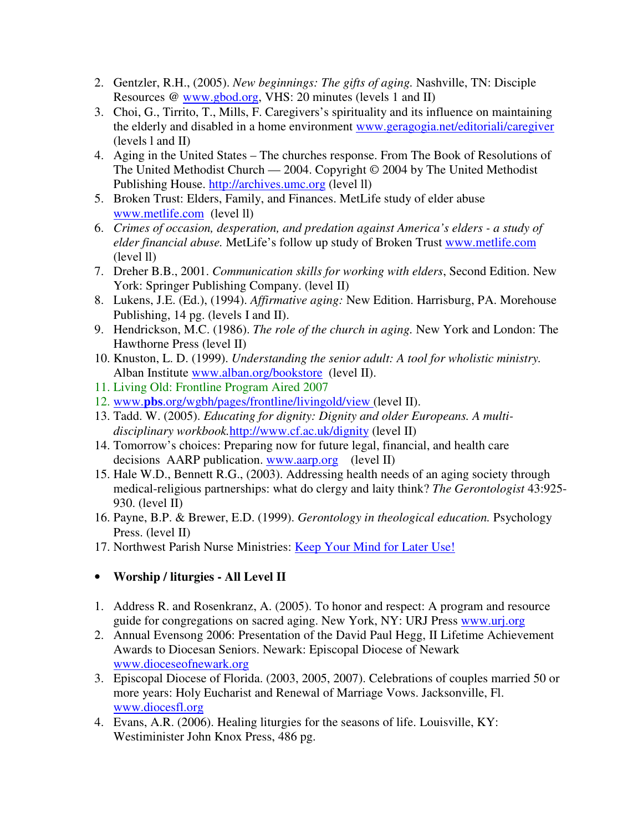- 2. Gentzler, R.H., (2005). *New beginnings: The gifts of aging.* Nashville, TN: Disciple Resources @ www.gbod.org, VHS: 20 minutes (levels 1 and II)
- 3. Choi, G., Tirrito, T., Mills, F. Caregivers's spirituality and its influence on maintaining the elderly and disabled in a home environment www.geragogia.net/editoriali/caregiver (levels l and II)
- 4. Aging in the United States The churches response. From The Book of Resolutions of The United Methodist Church — 2004. Copyright © 2004 by The United Methodist Publishing House. http://archives.umc.org (level ll)
- 5. Broken Trust: Elders, Family, and Finances. MetLife study of elder abuse www.metlife.com (level ll)
- 6. *Crimes of occasion, desperation, and predation against America's elders a study of elder financial abuse.* MetLife's follow up study of Broken Trust www.metlife.com (level ll)
- 7. Dreher B.B., 2001. *Communication skills for working with elders*, Second Edition. New York: Springer Publishing Company. (level II)
- 8. Lukens, J.E. (Ed.), (1994). *Affirmative aging:* New Edition. Harrisburg, PA. Morehouse Publishing, 14 pg. (levels I and II).
- 9. Hendrickson, M.C. (1986). *The role of the church in aging.* New York and London: The Hawthorne Press (level II)
- 10. Knuston, L. D. (1999). *Understanding the senior adult: A tool for wholistic ministry.*  Alban Institute www.alban.org/bookstore (level II).
- 11. Living Old: Frontline Program Aired 2007
- 12. www.**pbs**.org/wgbh/pages/frontline/livingold/view (level II).
- 13. Tadd. W. (2005). *Educating for dignity: Dignity and older Europeans. A multidisciplinary workbook.*http://www.cf.ac.uk/dignity (level II)
- 14. Tomorrow's choices: Preparing now for future legal, financial, and health care decisions AARP publication. www.aarp.org (level II)
- 15. Hale W.D., Bennett R.G., (2003). Addressing health needs of an aging society through medical-religious partnerships: what do clergy and laity think? *The Gerontologist* 43:925- 930. (level II)
- 16. Payne, B.P. & Brewer, E.D. (1999). *Gerontology in theological education.* Psychology Press. (level II)
- 17. Northwest Parish Nurse Ministries: Keep Your Mind for Later Use!

## • **Worship / liturgies - All Level II**

- 1. Address R. and Rosenkranz, A. (2005). To honor and respect: A program and resource guide for congregations on sacred aging. New York, NY: URJ Press www.urj.org
- 2. Annual Evensong 2006: Presentation of the David Paul Hegg, II Lifetime Achievement Awards to Diocesan Seniors. Newark: Episcopal Diocese of Newark www.dioceseofnewark.org
- 3. Episcopal Diocese of Florida. (2003, 2005, 2007). Celebrations of couples married 50 or more years: Holy Eucharist and Renewal of Marriage Vows. Jacksonville, Fl. www.diocesfl.org
- 4. Evans, A.R. (2006). Healing liturgies for the seasons of life. Louisville, KY: Westiminister John Knox Press, 486 pg.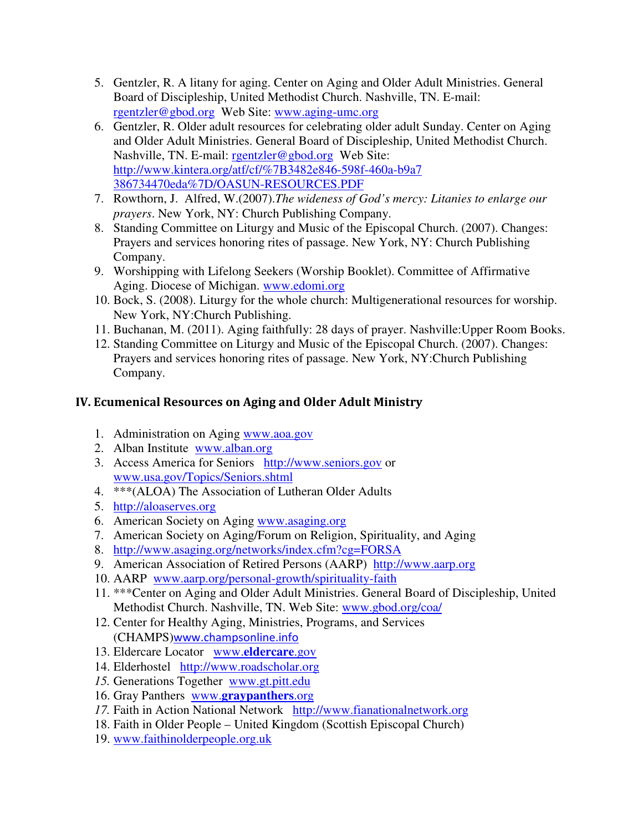- 5. Gentzler, R. A litany for aging. Center on Aging and Older Adult Ministries. General Board of Discipleship, United Methodist Church. Nashville, TN. E-mail: rgentzler@gbod.org Web Site: www.aging-umc.org
- 6. Gentzler, R. Older adult resources for celebrating older adult Sunday. Center on Aging and Older Adult Ministries. General Board of Discipleship, United Methodist Church. Nashville, TN. E-mail: rgentzler@gbod.org Web Site: http://www.kintera.org/atf/cf/%7B3482e846-598f-460a-b9a7 386734470eda%7D/OASUN-RESOURCES.PDF
- 7. Rowthorn, J. Alfred, W.(2007).*The wideness of God's mercy: Litanies to enlarge our prayers*. New York, NY: Church Publishing Company.
- 8. Standing Committee on Liturgy and Music of the Episcopal Church. (2007). Changes: Prayers and services honoring rites of passage. New York, NY: Church Publishing Company.
- 9. Worshipping with Lifelong Seekers (Worship Booklet). Committee of Affirmative Aging. Diocese of Michigan. www.edomi.org
- 10. Bock, S. (2008). Liturgy for the whole church: Multigenerational resources for worship. New York, NY:Church Publishing.
- 11. Buchanan, M. (2011). Aging faithfully: 28 days of prayer. Nashville:Upper Room Books.
- 12. Standing Committee on Liturgy and Music of the Episcopal Church. (2007). Changes: Prayers and services honoring rites of passage. New York, NY:Church Publishing Company.

## IV. Ecumenical Resources on Aging and Older Adult Ministry

- 1. Administration on Aging www.aoa.gov
- 2. Alban Institute www.alban.org
- 3. Access America for Seniors http://www.seniors.gov or www.usa.gov/Topics/Seniors.shtml
- 4. \*\*\*(ALOA) The Association of Lutheran Older Adults
- 5. http://aloaserves.org
- 6. American Society on Aging www.asaging.org
- 7. American Society on Aging/Forum on Religion, Spirituality, and Aging
- 8. http://www.asaging.org/networks/index.cfm?cg=FORSA
- 9. American Association of Retired Persons (AARP) http://www.aarp.org
- 10. AARP www.aarp.org/personal-growth/spirituality-faith
- 11. \*\*\*Center on Aging and Older Adult Ministries. General Board of Discipleship, United Methodist Church. Nashville, TN. Web Site: www.gbod.org/coa/
- 12. Center for Healthy Aging, Ministries, Programs, and Services (CHAMPS)www.champsonline.info
- 13. Eldercare Locator www.**eldercare**.gov
- 14. Elderhostel http://www.roadscholar.org
- *15.* Generations Together www.gt.pitt.edu
- 16. Gray Panthers www.**graypanthers**.org
- *17.* Faith in Action National Network http://www.fianationalnetwork.org
- 18. Faith in Older People United Kingdom (Scottish Episcopal Church)
- 19. www.faithinolderpeople.org.uk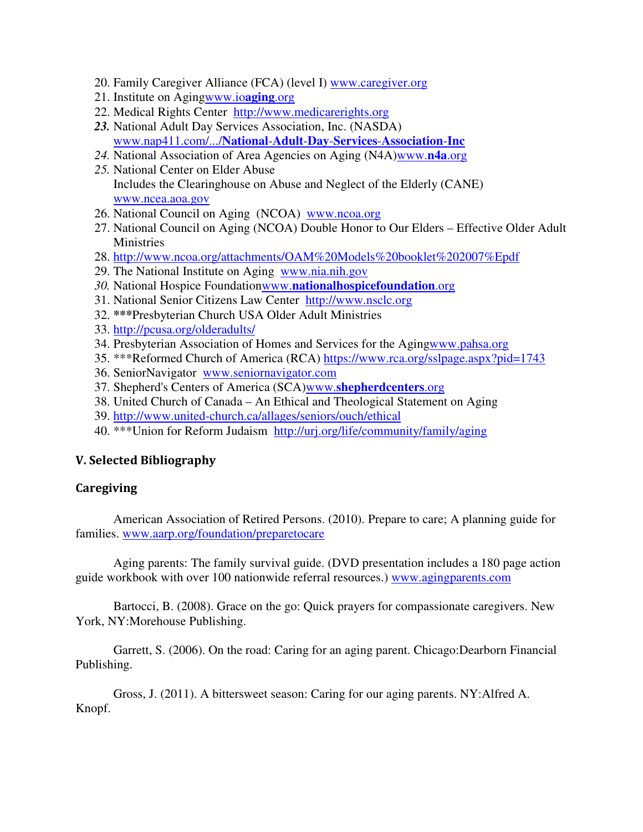- 20. Family Caregiver Alliance (FCA) (level I) www.caregiver.org
- 21. Institute on Agingwww.io**aging**.org
- 22. Medical Rights Center http://www.medicarerights.org
- *23.* National Adult Day Services Association, Inc. (NASDA) www.nap411.com/.../**National**-**Adult**-**Day**-**Services**-**Association**-**Inc**
- *24.* National Association of Area Agencies on Aging (N4A)www.**n4a**.org
- *25.* National Center on Elder Abuse Includes the Clearinghouse on Abuse and Neglect of the Elderly (CANE) www.ncea.aoa.gov
- 26. National Council on Aging (NCOA) www.ncoa.org
- 27. National Council on Aging (NCOA) Double Honor to Our Elders Effective Older Adult Ministries
- 28. http://www.ncoa.org/attachments/OAM%20Models%20booklet%202007%Epdf
- 29. The National Institute on Aging www.nia.nih.gov
- *30.* National Hospice Foundationwww.**nationalhospicefoundation**.org
- 31. National Senior Citizens Law Center http://www.nsclc.org
- 32. **\*\*\***Presbyterian Church USA Older Adult Ministries
- 33. http://pcusa.org/olderadults/
- 34. Presbyterian Association of Homes and Services for the Agingwww.pahsa.org
- 35. \*\*\*Reformed Church of America (RCA) https://www.rca.org/sslpage.aspx?pid=1743
- 36. SeniorNavigator www.seniornavigator.com
- 37. Shepherd's Centers of America (SCA)www.**shepherdcenters**.org
- 38. United Church of Canada An Ethical and Theological Statement on Aging
- 39. http://www.united-church.ca/allages/seniors/ouch/ethical
- 40. \*\*\*Union for Reform Judaism http://urj.org/life/community/family/aging

### V. Selected Bibliography

### **Caregiving**

 American Association of Retired Persons. (2010). Prepare to care; A planning guide for families. www.aarp.org/foundation/preparetocare

 Aging parents: The family survival guide. (DVD presentation includes a 180 page action guide workbook with over 100 nationwide referral resources.) www.agingparents.com

 Bartocci, B. (2008). Grace on the go: Quick prayers for compassionate caregivers. New York, NY:Morehouse Publishing.

 Garrett, S. (2006). On the road: Caring for an aging parent. Chicago:Dearborn Financial Publishing.

 Gross, J. (2011). A bittersweet season: Caring for our aging parents. NY:Alfred A. Knopf.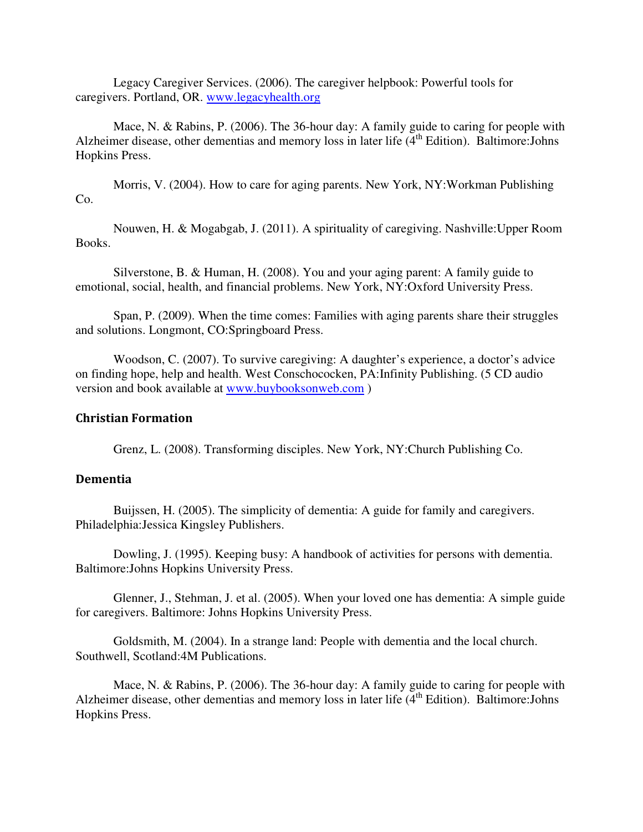Legacy Caregiver Services. (2006). The caregiver helpbook: Powerful tools for caregivers. Portland, OR. www.legacyhealth.org

Mace, N. & Rabins, P. (2006). The 36-hour day: A family guide to caring for people with Alzheimer disease, other dementias and memory loss in later life  $(4<sup>th</sup>$  Edition). Baltimore: Johns Hopkins Press.

Morris, V. (2004). How to care for aging parents. New York, NY:Workman Publishing Co.

Nouwen, H. & Mogabgab, J. (2011). A spirituality of caregiving. Nashville:Upper Room Books.

Silverstone, B. & Human, H. (2008). You and your aging parent: A family guide to emotional, social, health, and financial problems. New York, NY:Oxford University Press.

Span, P. (2009). When the time comes: Families with aging parents share their struggles and solutions. Longmont, CO:Springboard Press.

Woodson, C. (2007). To survive caregiving: A daughter's experience, a doctor's advice on finding hope, help and health. West Conschococken, PA:Infinity Publishing. (5 CD audio version and book available at www.buybooksonweb.com )

#### Christian Formation

Grenz, L. (2008). Transforming disciples. New York, NY:Church Publishing Co.

#### Dementia

 Buijssen, H. (2005). The simplicity of dementia: A guide for family and caregivers. Philadelphia:Jessica Kingsley Publishers.

 Dowling, J. (1995). Keeping busy: A handbook of activities for persons with dementia. Baltimore:Johns Hopkins University Press.

 Glenner, J., Stehman, J. et al. (2005). When your loved one has dementia: A simple guide for caregivers. Baltimore: Johns Hopkins University Press.

Goldsmith, M. (2004). In a strange land: People with dementia and the local church. Southwell, Scotland:4M Publications.

Mace, N. & Rabins, P. (2006). The 36-hour day: A family guide to caring for people with Alzheimer disease, other dementias and memory loss in later life  $(4<sup>th</sup> Edition)$ . Baltimore: Johns Hopkins Press.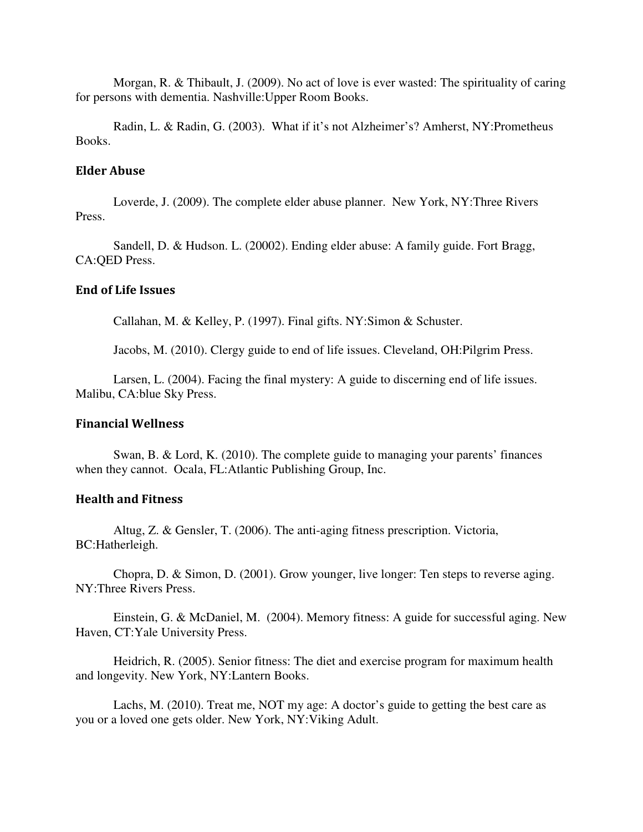Morgan, R. & Thibault, J. (2009). No act of love is ever wasted: The spirituality of caring for persons with dementia. Nashville:Upper Room Books.

Radin, L. & Radin, G. (2003). What if it's not Alzheimer's? Amherst, NY:Prometheus Books.

#### Elder Abuse

 Loverde, J. (2009). The complete elder abuse planner. New York, NY:Three Rivers Press.

 Sandell, D. & Hudson. L. (20002). Ending elder abuse: A family guide. Fort Bragg, CA:QED Press.

### End of Life Issues

Callahan, M. & Kelley, P. (1997). Final gifts. NY:Simon & Schuster.

Jacobs, M. (2010). Clergy guide to end of life issues. Cleveland, OH:Pilgrim Press.

 Larsen, L. (2004). Facing the final mystery: A guide to discerning end of life issues. Malibu, CA:blue Sky Press.

#### Financial Wellness

 Swan, B. & Lord, K. (2010). The complete guide to managing your parents' finances when they cannot. Ocala, FL:Atlantic Publishing Group, Inc.

### Health and Fitness

 Altug, Z. & Gensler, T. (2006). The anti-aging fitness prescription. Victoria, BC:Hatherleigh.

 Chopra, D. & Simon, D. (2001). Grow younger, live longer: Ten steps to reverse aging. NY:Three Rivers Press.

 Einstein, G. & McDaniel, M. (2004). Memory fitness: A guide for successful aging. New Haven, CT:Yale University Press.

 Heidrich, R. (2005). Senior fitness: The diet and exercise program for maximum health and longevity. New York, NY:Lantern Books.

 Lachs, M. (2010). Treat me, NOT my age: A doctor's guide to getting the best care as you or a loved one gets older. New York, NY:Viking Adult.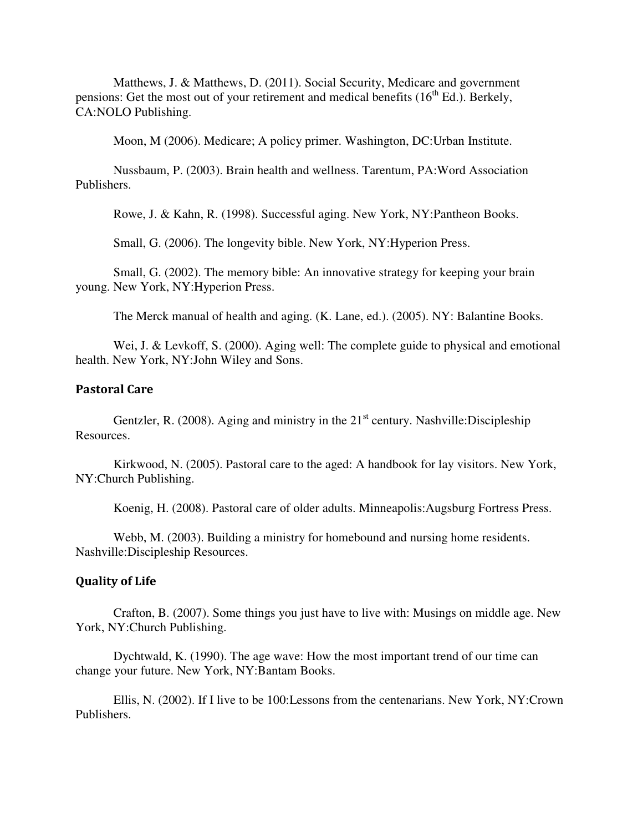Matthews, J. & Matthews, D. (2011). Social Security, Medicare and government pensions: Get the most out of your retirement and medical benefits  $(16<sup>th</sup> Ed.)$ . Berkely, CA:NOLO Publishing.

Moon, M (2006). Medicare; A policy primer. Washington, DC:Urban Institute.

 Nussbaum, P. (2003). Brain health and wellness. Tarentum, PA:Word Association Publishers.

Rowe, J. & Kahn, R. (1998). Successful aging. New York, NY:Pantheon Books.

Small, G. (2006). The longevity bible. New York, NY:Hyperion Press.

 Small, G. (2002). The memory bible: An innovative strategy for keeping your brain young. New York, NY:Hyperion Press.

The Merck manual of health and aging. (K. Lane, ed.). (2005). NY: Balantine Books.

Wei, J. & Levkoff, S. (2000). Aging well: The complete guide to physical and emotional health. New York, NY:John Wiley and Sons.

### Pastoral Care

Gentzler, R. (2008). Aging and ministry in the  $21<sup>st</sup>$  century. Nashville: Discipleship Resources.

Kirkwood, N. (2005). Pastoral care to the aged: A handbook for lay visitors. New York, NY:Church Publishing.

Koenig, H. (2008). Pastoral care of older adults. Minneapolis:Augsburg Fortress Press.

Webb, M. (2003). Building a ministry for homebound and nursing home residents. Nashville:Discipleship Resources.

#### Quality of Life

 Crafton, B. (2007). Some things you just have to live with: Musings on middle age. New York, NY:Church Publishing.

 Dychtwald, K. (1990). The age wave: How the most important trend of our time can change your future. New York, NY:Bantam Books.

 Ellis, N. (2002). If I live to be 100:Lessons from the centenarians. New York, NY:Crown Publishers.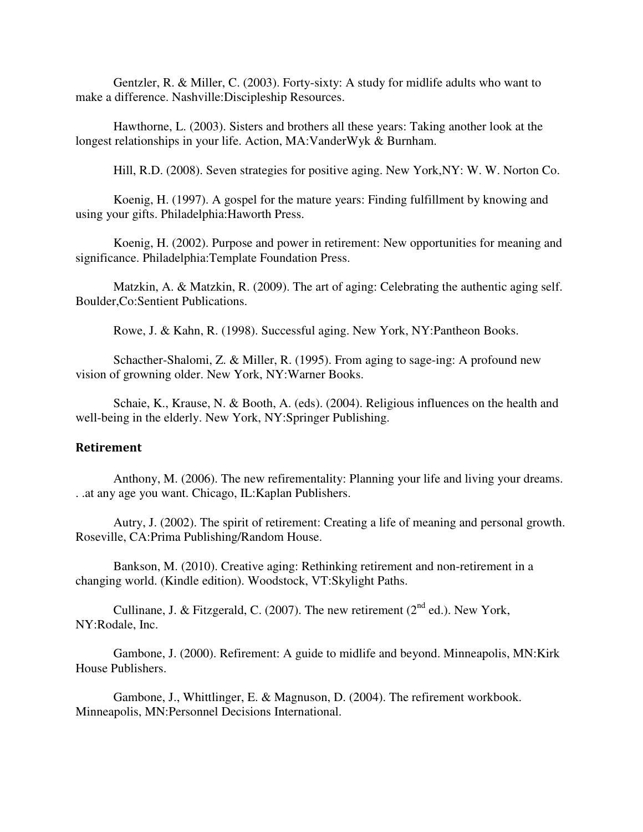Gentzler, R. & Miller, C. (2003). Forty-sixty: A study for midlife adults who want to make a difference. Nashville:Discipleship Resources.

 Hawthorne, L. (2003). Sisters and brothers all these years: Taking another look at the longest relationships in your life. Action, MA:VanderWyk & Burnham.

Hill, R.D. (2008). Seven strategies for positive aging. New York,NY: W. W. Norton Co.

Koenig, H. (1997). A gospel for the mature years: Finding fulfillment by knowing and using your gifts. Philadelphia:Haworth Press.

Koenig, H. (2002). Purpose and power in retirement: New opportunities for meaning and significance. Philadelphia:Template Foundation Press.

Matzkin, A. & Matzkin, R. (2009). The art of aging: Celebrating the authentic aging self. Boulder,Co:Sentient Publications.

Rowe, J. & Kahn, R. (1998). Successful aging. New York, NY:Pantheon Books.

Schacther-Shalomi, Z. & Miller, R. (1995). From aging to sage-ing: A profound new vision of growning older. New York, NY:Warner Books.

Schaie, K., Krause, N. & Booth, A. (eds). (2004). Religious influences on the health and well-being in the elderly. New York, NY:Springer Publishing.

#### Retirement

 Anthony, M. (2006). The new refirementality: Planning your life and living your dreams. . .at any age you want. Chicago, IL:Kaplan Publishers.

 Autry, J. (2002). The spirit of retirement: Creating a life of meaning and personal growth. Roseville, CA:Prima Publishing/Random House.

 Bankson, M. (2010). Creative aging: Rethinking retirement and non-retirement in a changing world. (Kindle edition). Woodstock, VT:Skylight Paths.

Cullinane, J. & Fitzgerald, C. (2007). The new retirement ( $2<sup>nd</sup>$  ed.). New York, NY:Rodale, Inc.

 Gambone, J. (2000). Refirement: A guide to midlife and beyond. Minneapolis, MN:Kirk House Publishers.

 Gambone, J., Whittlinger, E. & Magnuson, D. (2004). The refirement workbook. Minneapolis, MN:Personnel Decisions International.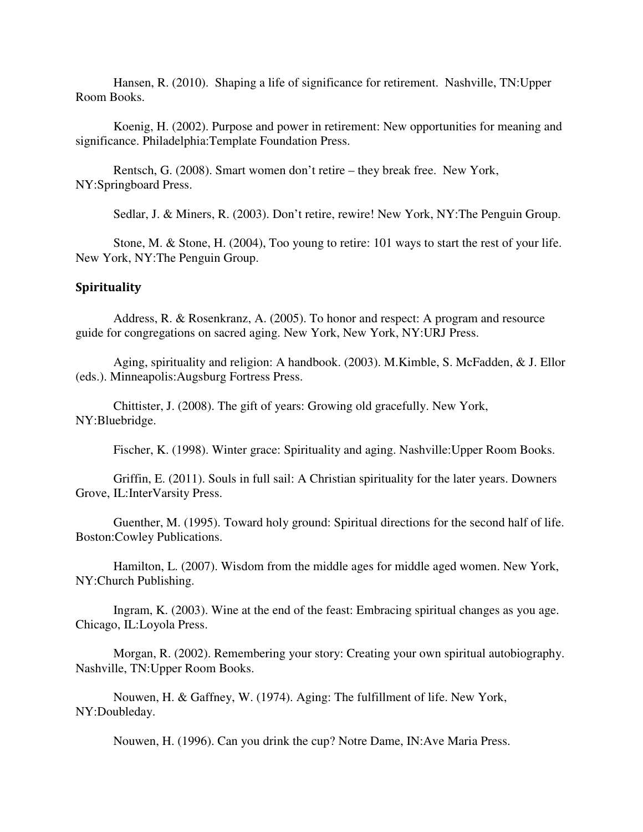Hansen, R. (2010). Shaping a life of significance for retirement. Nashville, TN:Upper Room Books.

Koenig, H. (2002). Purpose and power in retirement: New opportunities for meaning and significance. Philadelphia:Template Foundation Press.

 Rentsch, G. (2008). Smart women don't retire – they break free. New York, NY:Springboard Press.

Sedlar, J. & Miners, R. (2003). Don't retire, rewire! New York, NY:The Penguin Group.

 Stone, M. & Stone, H. (2004), Too young to retire: 101 ways to start the rest of your life. New York, NY:The Penguin Group.

#### Spirituality

Address, R. & Rosenkranz, A. (2005). To honor and respect: A program and resource guide for congregations on sacred aging. New York, New York, NY:URJ Press.

Aging, spirituality and religion: A handbook. (2003). M.Kimble, S. McFadden, & J. Ellor (eds.). Minneapolis:Augsburg Fortress Press.

Chittister, J. (2008). The gift of years: Growing old gracefully. New York, NY:Bluebridge.

Fischer, K. (1998). Winter grace: Spirituality and aging. Nashville:Upper Room Books.

Griffin, E. (2011). Souls in full sail: A Christian spirituality for the later years. Downers Grove, IL:InterVarsity Press.

Guenther, M. (1995). Toward holy ground: Spiritual directions for the second half of life. Boston:Cowley Publications.

Hamilton, L. (2007). Wisdom from the middle ages for middle aged women. New York, NY:Church Publishing.

Ingram, K. (2003). Wine at the end of the feast: Embracing spiritual changes as you age. Chicago, IL:Loyola Press.

Morgan, R. (2002). Remembering your story: Creating your own spiritual autobiography. Nashville, TN:Upper Room Books.

Nouwen, H. & Gaffney, W. (1974). Aging: The fulfillment of life. New York, NY:Doubleday.

Nouwen, H. (1996). Can you drink the cup? Notre Dame, IN:Ave Maria Press.